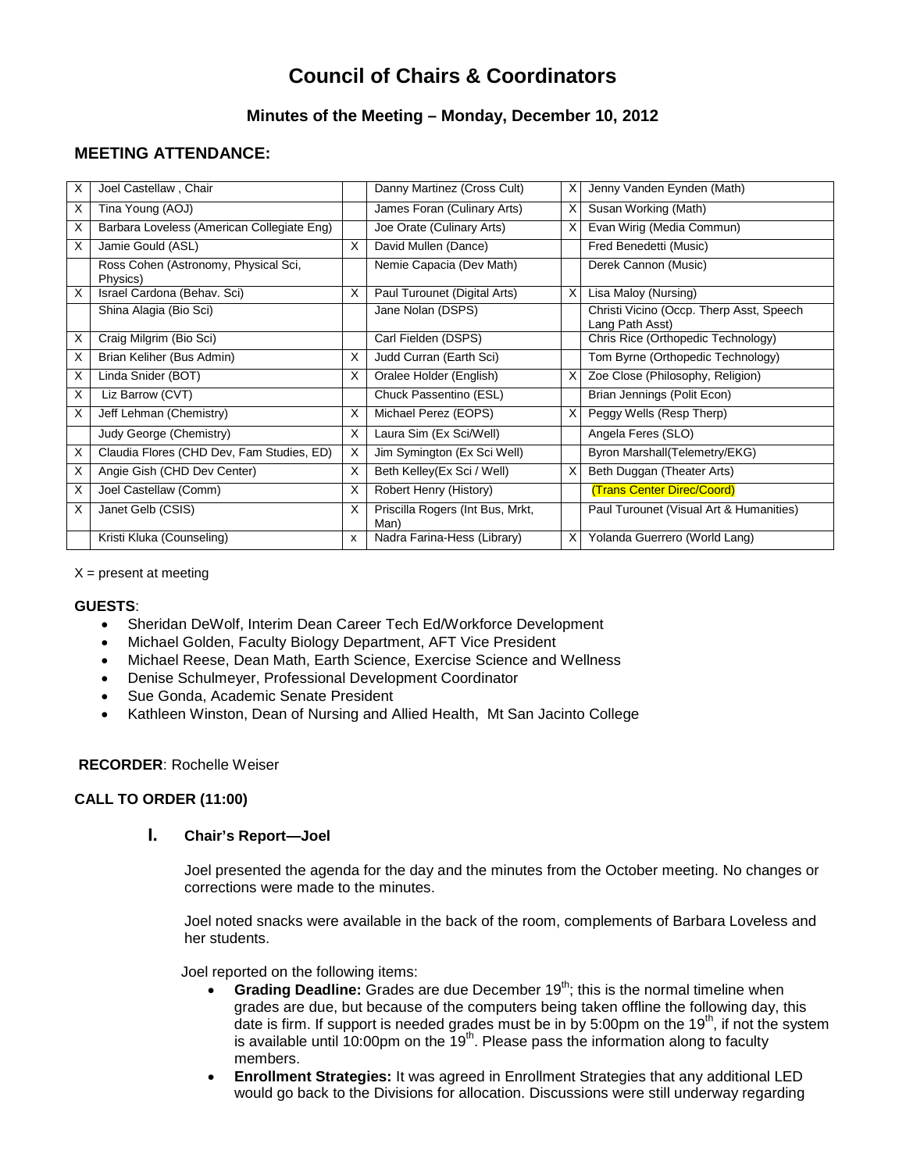# **Council of Chairs & Coordinators**

# **Minutes of the Meeting – Monday, December 10, 2012**

# **MEETING ATTENDANCE:**

| X | Joel Castellaw, Chair                            |   | Danny Martinez (Cross Cult)              | X | Jenny Vanden Eynden (Math)                                  |
|---|--------------------------------------------------|---|------------------------------------------|---|-------------------------------------------------------------|
| Χ | Tina Young (AOJ)                                 |   | James Foran (Culinary Arts)              | X | Susan Working (Math)                                        |
| X | Barbara Loveless (American Collegiate Eng)       |   | Joe Orate (Culinary Arts)                | X | Evan Wirig (Media Commun)                                   |
| X | Jamie Gould (ASL)                                | X | David Mullen (Dance)                     |   | Fred Benedetti (Music)                                      |
|   | Ross Cohen (Astronomy, Physical Sci,<br>Physics) |   | Nemie Capacia (Dev Math)                 |   | Derek Cannon (Music)                                        |
| X | Israel Cardona (Behav. Sci)                      | X | Paul Turounet (Digital Arts)             | X | Lisa Maloy (Nursing)                                        |
|   | Shina Alagia (Bio Sci)                           |   | Jane Nolan (DSPS)                        |   | Christi Vicino (Occp. Therp Asst, Speech<br>Lang Path Asst) |
| X | Craig Milgrim (Bio Sci)                          |   | Carl Fielden (DSPS)                      |   | Chris Rice (Orthopedic Technology)                          |
| X | Brian Keliher (Bus Admin)                        | X | Judd Curran (Earth Sci)                  |   | Tom Byrne (Orthopedic Technology)                           |
| X | Linda Snider (BOT)                               | X | Oralee Holder (English)                  | X | Zoe Close (Philosophy, Religion)                            |
| X | Liz Barrow (CVT)                                 |   | Chuck Passentino (ESL)                   |   | Brian Jennings (Polit Econ)                                 |
| X | Jeff Lehman (Chemistry)                          | X | Michael Perez (EOPS)                     | X | Peggy Wells (Resp Therp)                                    |
|   | Judy George (Chemistry)                          | X | Laura Sim (Ex Sci/Well)                  |   | Angela Feres (SLO)                                          |
| X | Claudia Flores (CHD Dev, Fam Studies, ED)        | X | Jim Symington (Ex Sci Well)              |   | Byron Marshall(Telemetry/EKG)                               |
| X | Angie Gish (CHD Dev Center)                      | X | Beth Kelley(Ex Sci / Well)               | X | Beth Duggan (Theater Arts)                                  |
| X | Joel Castellaw (Comm)                            | X | Robert Henry (History)                   |   | (Trans Center Direc/Coord)                                  |
| X | Janet Gelb (CSIS)                                | X | Priscilla Rogers (Int Bus, Mrkt,<br>Man) |   | Paul Turounet (Visual Art & Humanities)                     |
|   | Kristi Kluka (Counseling)                        | X | Nadra Farina-Hess (Library)              | X | Yolanda Guerrero (World Lang)                               |

 $X =$  present at meeting

### **GUESTS**:

- Sheridan DeWolf, Interim Dean Career Tech Ed/Workforce Development
- Michael Golden, Faculty Biology Department, AFT Vice President
- Michael Reese, Dean Math, Earth Science, Exercise Science and Wellness
- Denise Schulmeyer, Professional Development Coordinator
- Sue Gonda, Academic Senate President
- Kathleen Winston, Dean of Nursing and Allied Health, Mt San Jacinto College

### **RECORDER**: Rochelle Weiser

### **CALL TO ORDER (11:00)**

## **I. Chair's Report—Joel**

Joel presented the agenda for the day and the minutes from the October meeting. No changes or corrections were made to the minutes.

Joel noted snacks were available in the back of the room, complements of Barbara Loveless and her students.

Joel reported on the following items:

- **Grading Deadline:** Grades are due December 19<sup>th</sup>; this is the normal timeline when grades are due, but because of the computers being taken offline the following day, this date is firm. If support is needed grades must be in by 5:00pm on the  $19<sup>th</sup>$ , if not the system is available until 10:00pm on the  $19<sup>th</sup>$ . Please pass the information along to faculty members.
- **Enrollment Strategies:** It was agreed in Enrollment Strategies that any additional LED would go back to the Divisions for allocation. Discussions were still underway regarding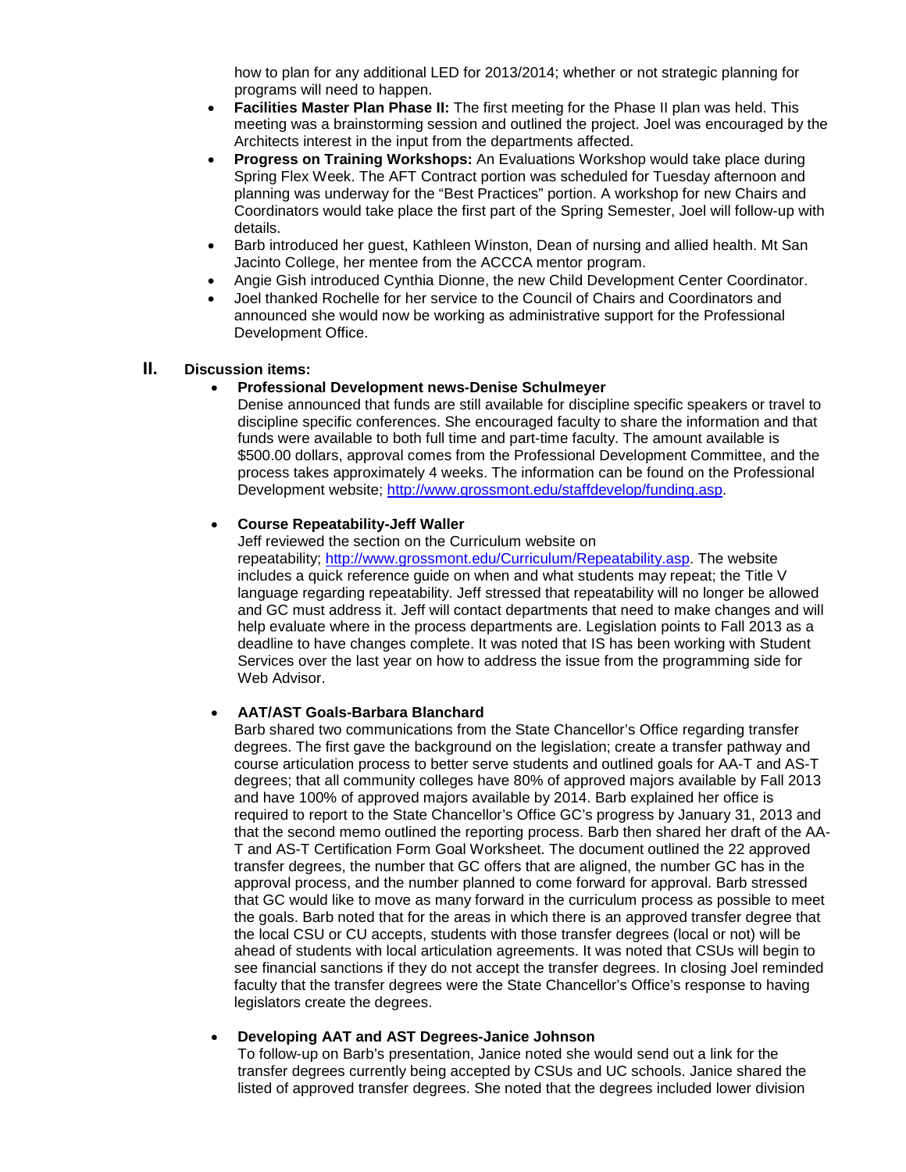how to plan for any additional LED for 2013/2014; whether or not strategic planning for programs will need to happen.

- **Facilities Master Plan Phase II:** The first meeting for the Phase II plan was held. This meeting was a brainstorming session and outlined the project. Joel was encouraged by the Architects interest in the input from the departments affected.
- **Progress on Training Workshops:** An Evaluations Workshop would take place during Spring Flex Week. The AFT Contract portion was scheduled for Tuesday afternoon and planning was underway for the "Best Practices" portion. A workshop for new Chairs and Coordinators would take place the first part of the Spring Semester, Joel will follow-up with details.
- Barb introduced her guest, Kathleen Winston, Dean of nursing and allied health. Mt San Jacinto College, her mentee from the ACCCA mentor program.
- Angie Gish introduced Cynthia Dionne, the new Child Development Center Coordinator.
- Joel thanked Rochelle for her service to the Council of Chairs and Coordinators and announced she would now be working as administrative support for the Professional Development Office.

## **II. Discussion items:**

#### • **Professional Development news-Denise Schulmeyer**

Denise announced that funds are still available for discipline specific speakers or travel to discipline specific conferences. She encouraged faculty to share the information and that funds were available to both full time and part-time faculty. The amount available is \$500.00 dollars, approval comes from the Professional Development Committee, and the process takes approximately 4 weeks. The information can be found on the Professional Development website; [http://www.grossmont.edu/staffdevelop/funding.asp.](http://www.grossmont.edu/staffdevelop/funding.asp)

### • **Course Repeatability-Jeff Waller**

Jeff reviewed the section on the Curriculum website on

repeatability; [http://www.grossmont.edu/Curriculum/Repeatability.asp.](http://www.grossmont.edu/Curriculum/Repeatability.asp) The website includes a quick reference guide on when and what students may repeat; the Title V language regarding repeatability. Jeff stressed that repeatability will no longer be allowed and GC must address it. Jeff will contact departments that need to make changes and will help evaluate where in the process departments are. Legislation points to Fall 2013 as a deadline to have changes complete. It was noted that IS has been working with Student Services over the last year on how to address the issue from the programming side for Web Advisor.

### • **AAT/AST Goals-Barbara Blanchard**

Barb shared two communications from the State Chancellor's Office regarding transfer degrees. The first gave the background on the legislation; create a transfer pathway and course articulation process to better serve students and outlined goals for AA-T and AS-T degrees; that all community colleges have 80% of approved majors available by Fall 2013 and have 100% of approved majors available by 2014. Barb explained her office is required to report to the State Chancellor's Office GC's progress by January 31, 2013 and that the second memo outlined the reporting process. Barb then shared her draft of the AA-T and AS-T Certification Form Goal Worksheet. The document outlined the 22 approved transfer degrees, the number that GC offers that are aligned, the number GC has in the approval process, and the number planned to come forward for approval. Barb stressed that GC would like to move as many forward in the curriculum process as possible to meet the goals. Barb noted that for the areas in which there is an approved transfer degree that the local CSU or CU accepts, students with those transfer degrees (local or not) will be ahead of students with local articulation agreements. It was noted that CSUs will begin to see financial sanctions if they do not accept the transfer degrees. In closing Joel reminded faculty that the transfer degrees were the State Chancellor's Office's response to having legislators create the degrees.

### • **Developing AAT and AST Degrees-Janice Johnson**

To follow-up on Barb's presentation, Janice noted she would send out a link for the transfer degrees currently being accepted by CSUs and UC schools. Janice shared the listed of approved transfer degrees. She noted that the degrees included lower division